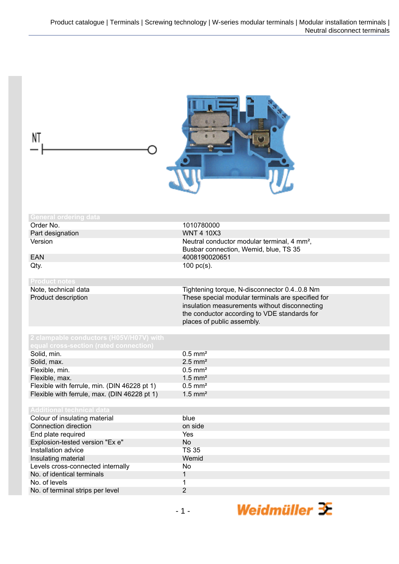| NT                                                     |                                                                                                                                                                                  |
|--------------------------------------------------------|----------------------------------------------------------------------------------------------------------------------------------------------------------------------------------|
| <b>General ordering data</b>                           |                                                                                                                                                                                  |
| Order No.                                              | 1010780000                                                                                                                                                                       |
| Part designation                                       | <b>WNT 4 10X3</b>                                                                                                                                                                |
| Version                                                | Neutral conductor modular terminal, 4 mm <sup>2</sup> ,                                                                                                                          |
|                                                        | Busbar connection, Wemid, blue, TS 35                                                                                                                                            |
| <b>EAN</b>                                             | 4008190020651                                                                                                                                                                    |
| Qty.                                                   | $100$ pc(s).                                                                                                                                                                     |
|                                                        |                                                                                                                                                                                  |
| <b>Product notes</b>                                   |                                                                                                                                                                                  |
| Note, technical data                                   | Tightening torque, N-disconnector 0.40.8 Nm                                                                                                                                      |
| Product description                                    | These special modular terminals are specified for<br>insulation measurements without disconnecting<br>the conductor according to VDE standards for<br>places of public assembly. |
| 2 clampable conductors (H05V/H07V) with                |                                                                                                                                                                                  |
| equal cross-section (rated connection)                 |                                                                                                                                                                                  |
| Solid, min.                                            | $0.5$ mm <sup>2</sup>                                                                                                                                                            |
|                                                        | $2.5$ mm <sup>2</sup>                                                                                                                                                            |
| Solid, max.                                            |                                                                                                                                                                                  |
| Flexible, min.                                         | $0.5$ mm <sup>2</sup>                                                                                                                                                            |
| Flexible, max.                                         | $1.5$ mm <sup>2</sup><br>$0.5$ mm <sup>2</sup>                                                                                                                                   |
| Flexible with ferrule, min. (DIN 46228 pt 1)           |                                                                                                                                                                                  |
| Flexible with ferrule, max. (DIN 46228 pt 1)           | $1.5$ mm <sup>2</sup>                                                                                                                                                            |
| <b>Additional technical data</b>                       |                                                                                                                                                                                  |
| Colour of insulating material                          | blue                                                                                                                                                                             |
| Connection direction                                   | on side                                                                                                                                                                          |
| End plate required                                     | Yes                                                                                                                                                                              |
|                                                        |                                                                                                                                                                                  |
| Explosion-tested version "Ex e"<br>Installation advice | <b>No</b><br><b>TS 35</b>                                                                                                                                                        |
|                                                        |                                                                                                                                                                                  |
| Insulating material                                    | Wemid                                                                                                                                                                            |
| Levels cross-connected internally                      | No                                                                                                                                                                               |
| No. of identical terminals                             | $\mathbf{1}$                                                                                                                                                                     |
| No. of levels                                          | 1                                                                                                                                                                                |
| No. of terminal strips per level                       | $\overline{2}$                                                                                                                                                                   |
|                                                        | Weidmüller $\mathcal{\mathcal{F}}$<br>$-1-$                                                                                                                                      |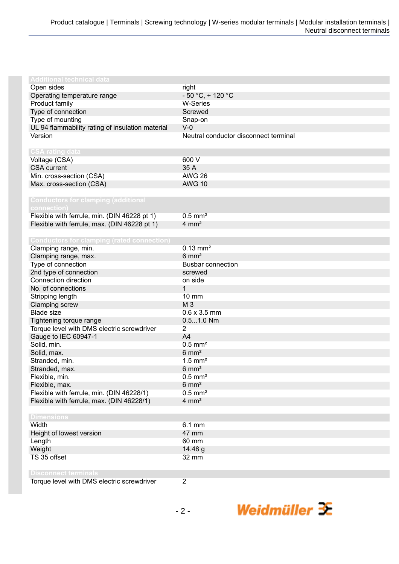| <b>Additional technical data</b>                  |                                       |
|---------------------------------------------------|---------------------------------------|
| Open sides                                        | right                                 |
| Operating temperature range                       | $-50 °C$ , + 120 °C                   |
| Product family                                    | <b>W-Series</b>                       |
| Type of connection                                | Screwed                               |
| Type of mounting                                  | Snap-on                               |
| UL 94 flammability rating of insulation material  | $V-0$                                 |
| Version                                           | Neutral conductor disconnect terminal |
|                                                   |                                       |
| <b>CSA rating data</b>                            |                                       |
| Voltage (CSA)                                     | 600 V                                 |
| <b>CSA</b> current                                | 35 A                                  |
| Min. cross-section (CSA)                          | <b>AWG 26</b>                         |
| Max. cross-section (CSA)                          | <b>AWG 10</b>                         |
|                                                   |                                       |
| <b>Conductors for clamping (additional</b>        |                                       |
| connection)                                       |                                       |
| Flexible with ferrule, min. (DIN 46228 pt 1)      | $0.5$ mm <sup>2</sup>                 |
| Flexible with ferrule, max. (DIN 46228 pt 1)      | $4 \, \text{mm}^2$                    |
|                                                   |                                       |
| <b>Conductors for clamping (rated connection)</b> |                                       |
| Clamping range, min.                              | $0.13$ mm <sup>2</sup>                |
| Clamping range, max.                              | $6 \text{ mm}^2$                      |
| Type of connection                                | <b>Busbar connection</b>              |
| 2nd type of connection                            | screwed                               |
| Connection direction                              | on side                               |
| No. of connections                                | 1                                     |
| Stripping length                                  | $10 \text{ mm}$                       |
| Clamping screw                                    | M <sub>3</sub>                        |
| <b>Blade size</b>                                 | $0.6 \times 3.5$ mm                   |
| Tightening torque range                           | $0.51.0$ Nm                           |
| Torque level with DMS electric screwdriver        | $\overline{2}$                        |
| Gauge to IEC 60947-1                              | A <sub>4</sub>                        |
| Solid, min.                                       | $0.5$ mm <sup>2</sup>                 |
| Solid, max.                                       | $6 \text{ mm}^2$                      |
| Stranded, min.                                    | $1.5$ mm <sup>2</sup>                 |
| Stranded, max.                                    | $6 \text{ mm}^2$                      |
| Flexible, min.                                    | $0.5$ mm <sup>2</sup>                 |
| Flexible, max.                                    | $6 \text{ mm}^2$                      |
| Flexible with ferrule, min. (DIN 46228/1)         | $0.5$ mm <sup>2</sup>                 |
|                                                   | $4 \, \text{mm}^2$                    |
| Flexible with ferrule, max. (DIN 46228/1)         |                                       |
| <b>Dimensions</b>                                 |                                       |
| Width                                             | 6.1 mm                                |
| Height of lowest version                          | 47 mm                                 |
|                                                   | 60 mm                                 |
| Length<br>Weight                                  |                                       |
| TS 35 offset                                      | 14.48 g<br>32 mm                      |
|                                                   |                                       |
| <b>Disconnect terminals</b>                       |                                       |
| Torque level with DMS electric screwdriver        | $\overline{2}$                        |
|                                                   |                                       |

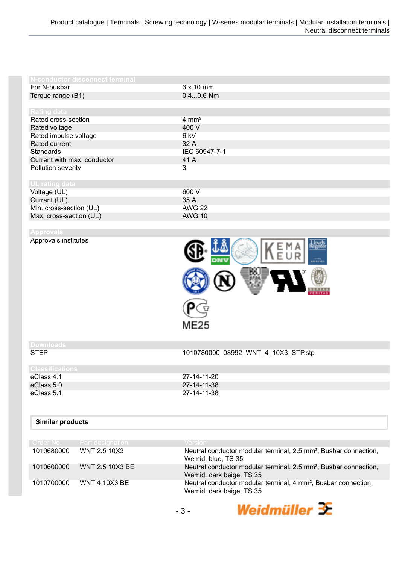| N-conductor disconnect terminal |                  |
|---------------------------------|------------------|
| For N-busbar                    | $3 \times 10$ mm |
| Torque range (B1)               | $0.40.6$ Nm      |
|                                 |                  |
| Rating data                     |                  |
| Rated cross-section             | $4 \text{ mm}^2$ |
| Rated voltage                   | 400 V            |
| Rated impulse voltage           | 6 kV             |
| Rated current                   | 32 A             |
| <b>Standards</b>                | IEC 60947-7-1    |
| Current with max. conductor     | 41 A             |
| Pollution severity              | 3                |
|                                 |                  |
| <b>UL rating data</b>           |                  |
| Voltage (UL)                    | 600 V            |
| Current (UL)                    | 35 A             |
| Min. cross-section (UL)         | <b>AWG 22</b>    |
| Max. cross-section (UL)         | <b>AWG 10</b>    |

| Approvals institutes |  |  |
|----------------------|--|--|
|                      |  |  |
|                      |  |  |



## **Downloads**

STEP 1010780000\_08992\_WNT\_4\_10X3\_STP.stp

| <b>Classifications</b> |             |
|------------------------|-------------|
| eClass 4.1             | 27-14-11-20 |
| eClass 5.0             | 27-14-11-38 |
| eClass 5.1             | 27-14-11-38 |
|                        |             |

## **Similar products**

|            | Order No. Part designation | <b>Version</b>                                                                                           |
|------------|----------------------------|----------------------------------------------------------------------------------------------------------|
| 1010680000 | WNT 2.5 10X3               | Neutral conductor modular terminal, 2.5 mm <sup>2</sup> , Busbar connection,<br>Wemid, blue, TS 35       |
| 1010600000 | <b>WNT 2.5 10X3 BE</b>     | Neutral conductor modular terminal, 2.5 mm <sup>2</sup> , Busbar connection,<br>Wemid, dark beige, TS 35 |
| 1010700000 | <b>WNT 4 10X3 BE</b>       | Neutral conductor modular terminal, 4 mm <sup>2</sup> , Busbar connection,<br>Wemid, dark beige, TS 35   |